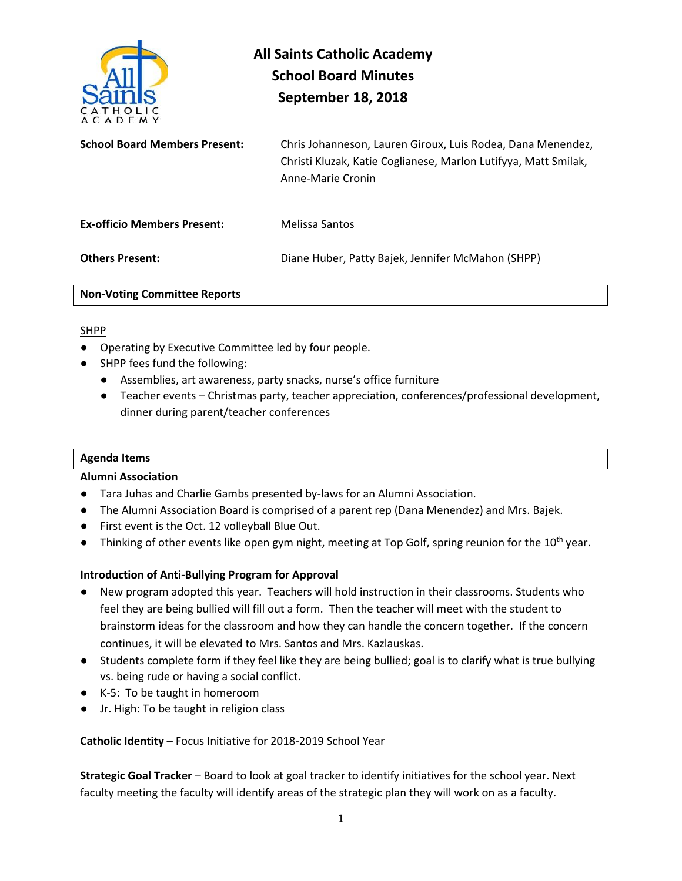

**All Saints Catholic Academy School Board Minutes September 18, 2018**

| <b>School Board Members Present:</b> | Chris Johanneson, Lauren Giroux, Luis Rodea, Dana Menendez,<br>Christi Kluzak, Katie Coglianese, Marlon Lutifyya, Matt Smilak,<br>Anne-Marie Cronin |
|--------------------------------------|-----------------------------------------------------------------------------------------------------------------------------------------------------|
| <b>Ex-officio Members Present:</b>   | Melissa Santos                                                                                                                                      |
| <b>Others Present:</b>               | Diane Huber, Patty Bajek, Jennifer McMahon (SHPP)                                                                                                   |

**Non-Voting Committee Reports** 

### SHPP

- Operating by Executive Committee led by four people.
- SHPP fees fund the following:
	- Assemblies, art awareness, party snacks, nurse's office furniture
	- Teacher events Christmas party, teacher appreciation, conferences/professional development, dinner during parent/teacher conferences

## **Agenda Items**

#### **Alumni Association**

- Tara Juhas and Charlie Gambs presented by-laws for an Alumni Association.
- The Alumni Association Board is comprised of a parent rep (Dana Menendez) and Mrs. Bajek.
- First event is the Oct. 12 volleyball Blue Out.
- Thinking of other events like open gym night, meeting at Top Golf, spring reunion for the 10<sup>th</sup> year.

## **Introduction of Anti-Bullying Program for Approval**

- New program adopted this year. Teachers will hold instruction in their classrooms. Students who feel they are being bullied will fill out a form. Then the teacher will meet with the student to brainstorm ideas for the classroom and how they can handle the concern together. If the concern continues, it will be elevated to Mrs. Santos and Mrs. Kazlauskas.
- Students complete form if they feel like they are being bullied; goal is to clarify what is true bullying vs. being rude or having a social conflict.
- K-5: To be taught in homeroom
- Jr. High: To be taught in religion class

**Catholic Identity** – Focus Initiative for 2018-2019 School Year

**Strategic Goal Tracker** – Board to look at goal tracker to identify initiatives for the school year. Next faculty meeting the faculty will identify areas of the strategic plan they will work on as a faculty.